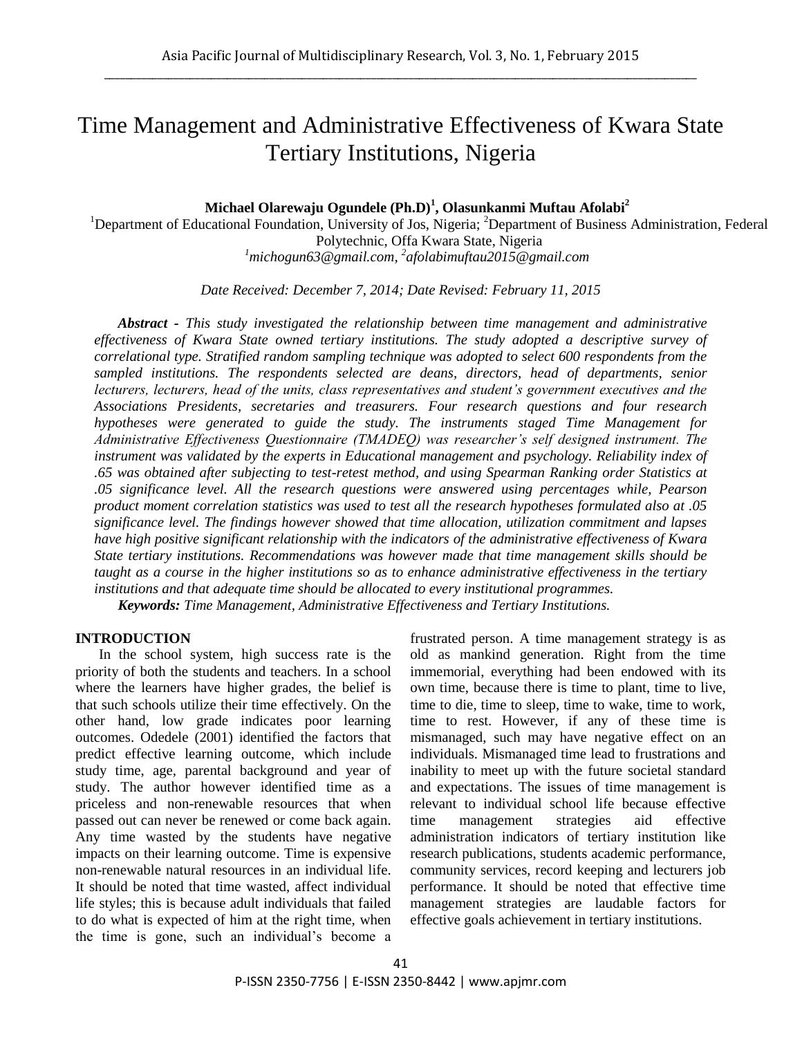# Time Management and Administrative Effectiveness of Kwara State Tertiary Institutions, Nigeria

## **Michael Olarewaju Ogundele (Ph.D)<sup>1</sup> , Olasunkanmi Muftau Afolabi<sup>2</sup>**

<sup>1</sup>Department of Educational Foundation, University of Jos, Nigeria; <sup>2</sup>Department of Business Administration, Federal Polytechnic, Offa Kwara State, Nigeria *<sup>1</sup>michogun63@gmail.com, 2 afolabimuftau2015@gmail.com*

*Date Received: December 7, 2014; Date Revised: February 11, 2015*

*Abstract - This study investigated the relationship between time management and administrative effectiveness of Kwara State owned tertiary institutions. The study adopted a descriptive survey of correlational type. Stratified random sampling technique was adopted to select 600 respondents from the sampled institutions. The respondents selected are deans, directors, head of departments, senior lecturers, lecturers, head of the units, class representatives and student's government executives and the Associations Presidents, secretaries and treasurers. Four research questions and four research hypotheses were generated to guide the study. The instruments staged Time Management for Administrative Effectiveness Questionnaire (TMADEQ) was researcher's self designed instrument. The instrument was validated by the experts in Educational management and psychology. Reliability index of .65 was obtained after subjecting to test-retest method, and using Spearman Ranking order Statistics at .05 significance level. All the research questions were answered using percentages while, Pearson product moment correlation statistics was used to test all the research hypotheses formulated also at .05 significance level. The findings however showed that time allocation, utilization commitment and lapses have high positive significant relationship with the indicators of the administrative effectiveness of Kwara State tertiary institutions. Recommendations was however made that time management skills should be taught as a course in the higher institutions so as to enhance administrative effectiveness in the tertiary institutions and that adequate time should be allocated to every institutional programmes. Keywords: Time Management, Administrative Effectiveness and Tertiary Institutions.*

#### **INTRODUCTION**

In the school system, high success rate is the priority of both the students and teachers. In a school where the learners have higher grades, the belief is that such schools utilize their time effectively. On the other hand, low grade indicates poor learning outcomes. Odedele (2001) identified the factors that predict effective learning outcome, which include study time, age, parental background and year of study. The author however identified time as a priceless and non-renewable resources that when passed out can never be renewed or come back again. Any time wasted by the students have negative impacts on their learning outcome. Time is expensive non-renewable natural resources in an individual life. It should be noted that time wasted, affect individual life styles; this is because adult individuals that failed to do what is expected of him at the right time, when the time is gone, such an individual's become a frustrated person. A time management strategy is as old as mankind generation. Right from the time immemorial, everything had been endowed with its own time, because there is time to plant, time to live, time to die, time to sleep, time to wake, time to work, time to rest. However, if any of these time is mismanaged, such may have negative effect on an individuals. Mismanaged time lead to frustrations and inability to meet up with the future societal standard and expectations. The issues of time management is relevant to individual school life because effective time management strategies aid effective administration indicators of tertiary institution like research publications, students academic performance, community services, record keeping and lecturers job performance. It should be noted that effective time management strategies are laudable factors for effective goals achievement in tertiary institutions.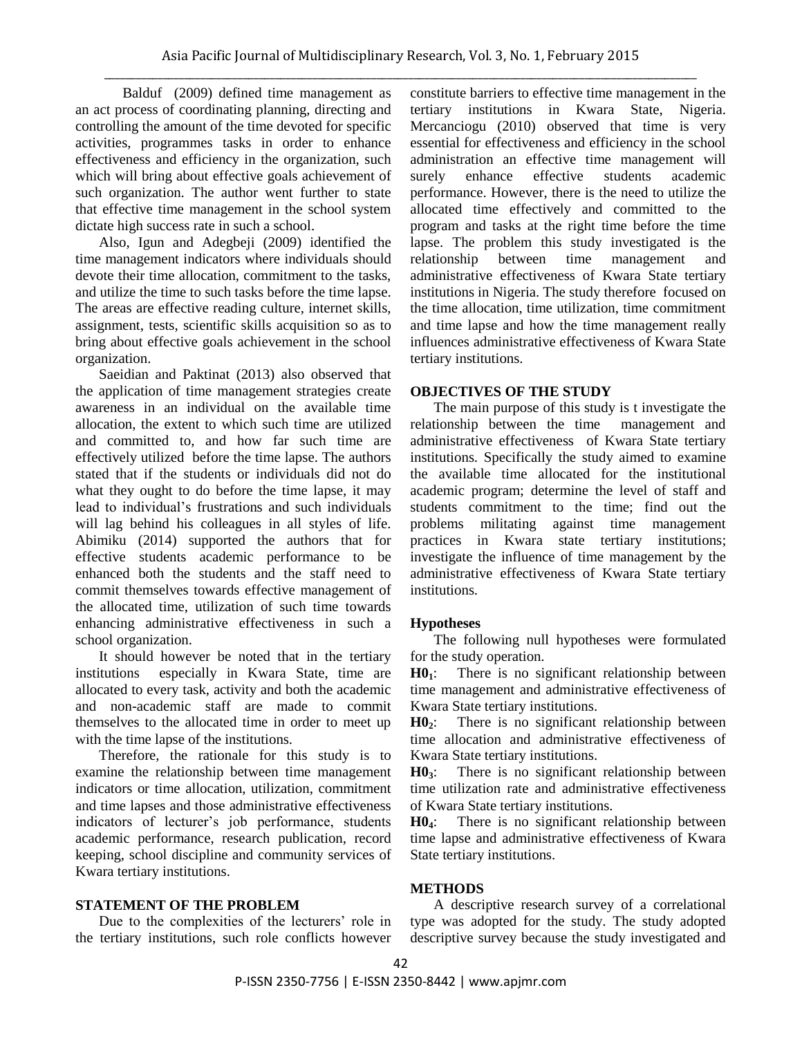Balduf (2009) defined time management as an act process of coordinating planning, directing and controlling the amount of the time devoted for specific activities, programmes tasks in order to enhance effectiveness and efficiency in the organization, such which will bring about effective goals achievement of such organization. The author went further to state that effective time management in the school system dictate high success rate in such a school.

Also, Igun and Adegbeji (2009) identified the time management indicators where individuals should devote their time allocation, commitment to the tasks, and utilize the time to such tasks before the time lapse. The areas are effective reading culture, internet skills, assignment, tests, scientific skills acquisition so as to bring about effective goals achievement in the school organization.

Saeidian and Paktinat (2013) also observed that the application of time management strategies create awareness in an individual on the available time allocation, the extent to which such time are utilized and committed to, and how far such time are effectively utilized before the time lapse. The authors stated that if the students or individuals did not do what they ought to do before the time lapse, it may lead to individual's frustrations and such individuals will lag behind his colleagues in all styles of life. Abimiku (2014) supported the authors that for effective students academic performance to be enhanced both the students and the staff need to commit themselves towards effective management of the allocated time, utilization of such time towards enhancing administrative effectiveness in such a school organization.

It should however be noted that in the tertiary institutions especially in Kwara State, time are allocated to every task, activity and both the academic and non-academic staff are made to commit themselves to the allocated time in order to meet up with the time lapse of the institutions.

Therefore, the rationale for this study is to examine the relationship between time management indicators or time allocation, utilization, commitment and time lapses and those administrative effectiveness indicators of lecturer's job performance, students academic performance, research publication, record keeping, school discipline and community services of Kwara tertiary institutions.

#### **STATEMENT OF THE PROBLEM**

Due to the complexities of the lecturers' role in the tertiary institutions, such role conflicts however constitute barriers to effective time management in the tertiary institutions in Kwara State, Nigeria. Mercanciogu (2010) observed that time is very essential for effectiveness and efficiency in the school administration an effective time management will surely enhance effective students academic performance. However, there is the need to utilize the allocated time effectively and committed to the program and tasks at the right time before the time lapse. The problem this study investigated is the relationship between time management and administrative effectiveness of Kwara State tertiary institutions in Nigeria. The study therefore focused on the time allocation, time utilization, time commitment and time lapse and how the time management really influences administrative effectiveness of Kwara State tertiary institutions.

#### **OBJECTIVES OF THE STUDY**

The main purpose of this study is t investigate the relationship between the time management and administrative effectiveness of Kwara State tertiary institutions. Specifically the study aimed to examine the available time allocated for the institutional academic program; determine the level of staff and students commitment to the time; find out the problems militating against time management practices in Kwara state tertiary institutions; investigate the influence of time management by the administrative effectiveness of Kwara State tertiary institutions.

#### **Hypotheses**

The following null hypotheses were formulated for the study operation.

**H01**: There is no significant relationship between time management and administrative effectiveness of Kwara State tertiary institutions.

**H02**: There is no significant relationship between time allocation and administrative effectiveness of Kwara State tertiary institutions.

**H03**: There is no significant relationship between time utilization rate and administrative effectiveness of Kwara State tertiary institutions.

**H04**: There is no significant relationship between time lapse and administrative effectiveness of Kwara State tertiary institutions.

#### **METHODS**

A descriptive research survey of a correlational type was adopted for the study. The study adopted descriptive survey because the study investigated and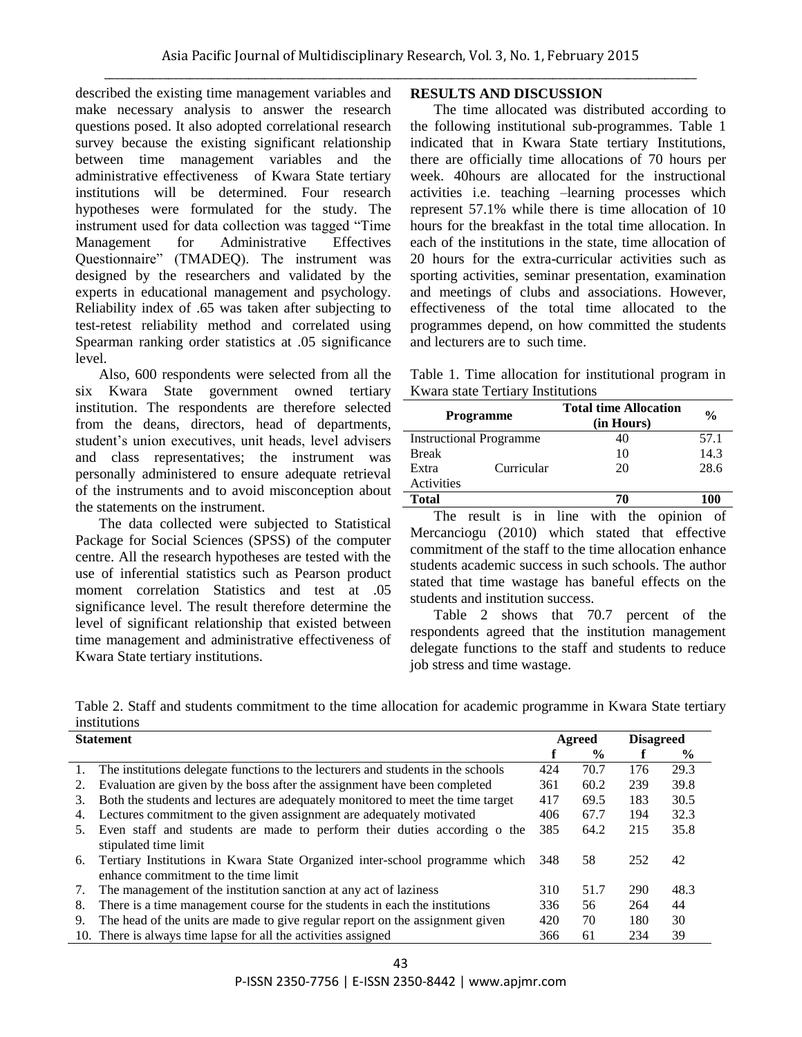described the existing time management variables and make necessary analysis to answer the research questions posed. It also adopted correlational research survey because the existing significant relationship between time management variables and the administrative effectiveness of Kwara State tertiary institutions will be determined. Four research hypotheses were formulated for the study. The instrument used for data collection was tagged "Time Management for Administrative Effectives Questionnaire" (TMADEQ). The instrument was designed by the researchers and validated by the experts in educational management and psychology. Reliability index of .65 was taken after subjecting to test-retest reliability method and correlated using Spearman ranking order statistics at .05 significance level.

Also, 600 respondents were selected from all the six Kwara State government owned tertiary institution. The respondents are therefore selected from the deans, directors, head of departments, student's union executives, unit heads, level advisers and class representatives; the instrument was personally administered to ensure adequate retrieval of the instruments and to avoid misconception about the statements on the instrument.

The data collected were subjected to Statistical Package for Social Sciences (SPSS) of the computer centre. All the research hypotheses are tested with the use of inferential statistics such as Pearson product moment correlation Statistics and test at .05 significance level. The result therefore determine the level of significant relationship that existed between time management and administrative effectiveness of Kwara State tertiary institutions.

### **RESULTS AND DISCUSSION**

The time allocated was distributed according to the following institutional sub-programmes. Table 1 indicated that in Kwara State tertiary Institutions, there are officially time allocations of 70 hours per week. 40hours are allocated for the instructional activities i.e. teaching –learning processes which represent 57.1% while there is time allocation of 10 hours for the breakfast in the total time allocation. In each of the institutions in the state, time allocation of 20 hours for the extra-curricular activities such as sporting activities, seminar presentation, examination and meetings of clubs and associations. However, effectiveness of the total time allocated to the programmes depend, on how committed the students and lecturers are to such time.

Table 1. Time allocation for institutional program in Kwara state Tertiary Institutions

| <b>Programme</b>               |            | <b>Total time Allocation</b><br>(in Hours) | $\frac{0}{0}$ |
|--------------------------------|------------|--------------------------------------------|---------------|
| <b>Instructional Programme</b> |            | 40                                         | 57.1          |
| <b>Break</b>                   |            | 10                                         | 14.3          |
| Extra                          | Curricular | 20                                         | 28.6          |
| Activities                     |            |                                            |               |
| <b>Total</b>                   |            | 70                                         | 100           |

The result is in line with the opinion of Mercanciogu (2010) which stated that effective commitment of the staff to the time allocation enhance students academic success in such schools. The author stated that time wastage has baneful effects on the students and institution success.

Table 2 shows that 70.7 percent of the respondents agreed that the institution management delegate functions to the staff and students to reduce job stress and time wastage.

Table 2. Staff and students commitment to the time allocation for academic programme in Kwara State tertiary institutions

|    | <b>Statement</b>                                                                                                    |     |               | <b>Disagreed</b> |               |
|----|---------------------------------------------------------------------------------------------------------------------|-----|---------------|------------------|---------------|
|    |                                                                                                                     |     | $\frac{0}{0}$ |                  | $\frac{6}{9}$ |
| 1. | The institutions delegate functions to the lecturers and students in the schools                                    | 424 | 70.7          | 176              | 29.3          |
| 2. | Evaluation are given by the boss after the assignment have been completed                                           | 361 | 60.2          | 239              | 39.8          |
| 3. | Both the students and lectures are adequately monitored to meet the time target                                     | 417 | 69.5          | 183              | 30.5          |
| 4. | Lectures commitment to the given assignment are adequately motivated                                                | 406 | 67.7          | 194              | 32.3          |
| 5. | Even staff and students are made to perform their duties according o the                                            | 385 | 64.2          | 215              | 35.8          |
|    | stipulated time limit                                                                                               |     |               |                  |               |
| 6. | Tertiary Institutions in Kwara State Organized inter-school programme which<br>enhance commitment to the time limit | 348 | 58            | 252              | 42            |
| 7. | The management of the institution sanction at any act of laziness                                                   | 310 | 51.7          | 290              | 48.3          |
| 8. | There is a time management course for the students in each the institutions                                         | 336 | 56            | 264              | 44            |
| 9. | The head of the units are made to give regular report on the assignment given                                       | 420 | 70            | 180              | 30            |
|    | 10. There is always time lapse for all the activities assigned                                                      | 366 | 61            | 234              | 39            |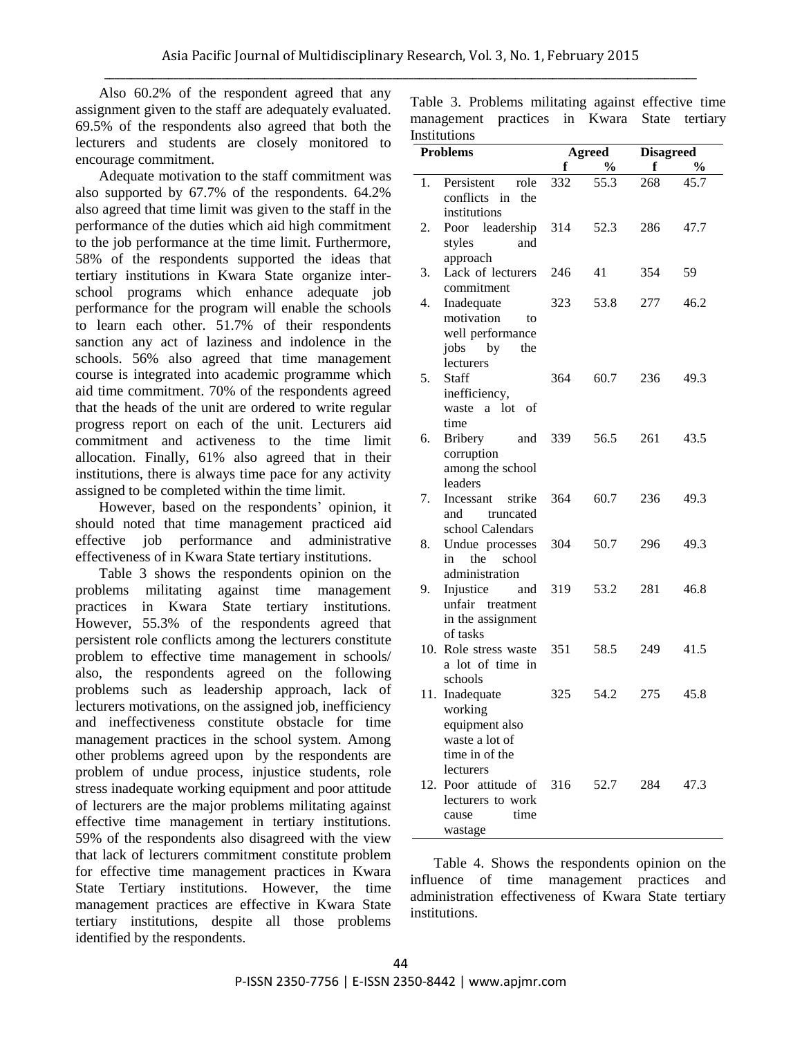Also 60.2% of the respondent agreed that any assignment given to the staff are adequately evaluated. 69.5% of the respondents also agreed that both the lecturers and students are closely monitored to encourage commitment.

Adequate motivation to the staff commitment was also supported by 67.7% of the respondents. 64.2% also agreed that time limit was given to the staff in the performance of the duties which aid high commitment to the job performance at the time limit. Furthermore, 58% of the respondents supported the ideas that tertiary institutions in Kwara State organize interschool programs which enhance adequate job performance for the program will enable the schools to learn each other. 51.7% of their respondents sanction any act of laziness and indolence in the schools. 56% also agreed that time management course is integrated into academic programme which aid time commitment. 70% of the respondents agreed that the heads of the unit are ordered to write regular progress report on each of the unit. Lecturers aid commitment and activeness to the time limit allocation. Finally, 61% also agreed that in their institutions, there is always time pace for any activity assigned to be completed within the time limit.

However, based on the respondents' opinion, it should noted that time management practiced aid effective job performance and administrative effectiveness of in Kwara State tertiary institutions.

Table 3 shows the respondents opinion on the problems militating against time management practices in Kwara State tertiary institutions. However, 55.3% of the respondents agreed that persistent role conflicts among the lecturers constitute problem to effective time management in schools/ also, the respondents agreed on the following problems such as leadership approach, lack of lecturers motivations, on the assigned job, inefficiency and ineffectiveness constitute obstacle for time management practices in the school system. Among other problems agreed upon by the respondents are problem of undue process, injustice students, role stress inadequate working equipment and poor attitude of lecturers are the major problems militating against effective time management in tertiary institutions. 59% of the respondents also disagreed with the view that lack of lecturers commitment constitute problem for effective time management practices in Kwara State Tertiary institutions. However, the time management practices are effective in Kwara State tertiary institutions, despite all those problems identified by the respondents.

Table 3. Problems militating against effective time management practices in Kwara State tertiary Institutions

|    | nsututions<br><b>Problems</b>                                                               | Agreed |               | <b>Disagreed</b> |               |
|----|---------------------------------------------------------------------------------------------|--------|---------------|------------------|---------------|
|    |                                                                                             | f      | $\frac{0}{0}$ | f                | $\frac{0}{0}$ |
| 1. | Persistent<br>role<br>conflicts in the<br>institutions                                      | 332    | 55.3          | 268              | 45.7          |
| 2. | Poor leadership 314<br>and<br>styles                                                        |        | 52.3          | 286              | 47.7          |
| 3. | approach<br>Lack of lecturers<br>commitment                                                 | 246    | 41            | 354              | 59            |
| 4. | Inadequate<br>motivation<br>to<br>well performance<br>jobs by<br>the<br>lecturers           | 323    | 53.8          | 277              | 46.2          |
| 5. | Staff<br>inefficiency,<br>waste a lot of<br>time                                            | 364    | 60.7          | 236              | 49.3          |
| 6. | Bribery and<br>corruption<br>among the school<br>leaders                                    | 339    | 56.5          | 261              | 43.5          |
| 7. | strike<br>Incessant<br>and truncated<br>school Calendars                                    | 364    | 60.7          | 236              | 49.3          |
| 8. | Undue processes<br>in the school<br>administration                                          | 304    | 50.7          | 296              | 49.3          |
| 9. | Injustice and<br>unfair treatment<br>in the assignment<br>of tasks                          | 319    | 53.2          | 281              | 46.8          |
|    | 10. Role stress waste<br>a lot of time in<br>schools                                        |        | 351 58.5      | 249              | 41.5          |
|    | 11. Inadequate<br>working<br>equipment also<br>waste a lot of<br>time in of the             | 325    | 54.2          | 275              | 45.8          |
|    | lecturers<br>12. Poor attitude of 316 52.7<br>lecturers to work<br>time<br>cause<br>wastage |        |               | 284              | 47.3          |

Table 4. Shows the respondents opinion on the influence of time management practices and administration effectiveness of Kwara State tertiary institutions.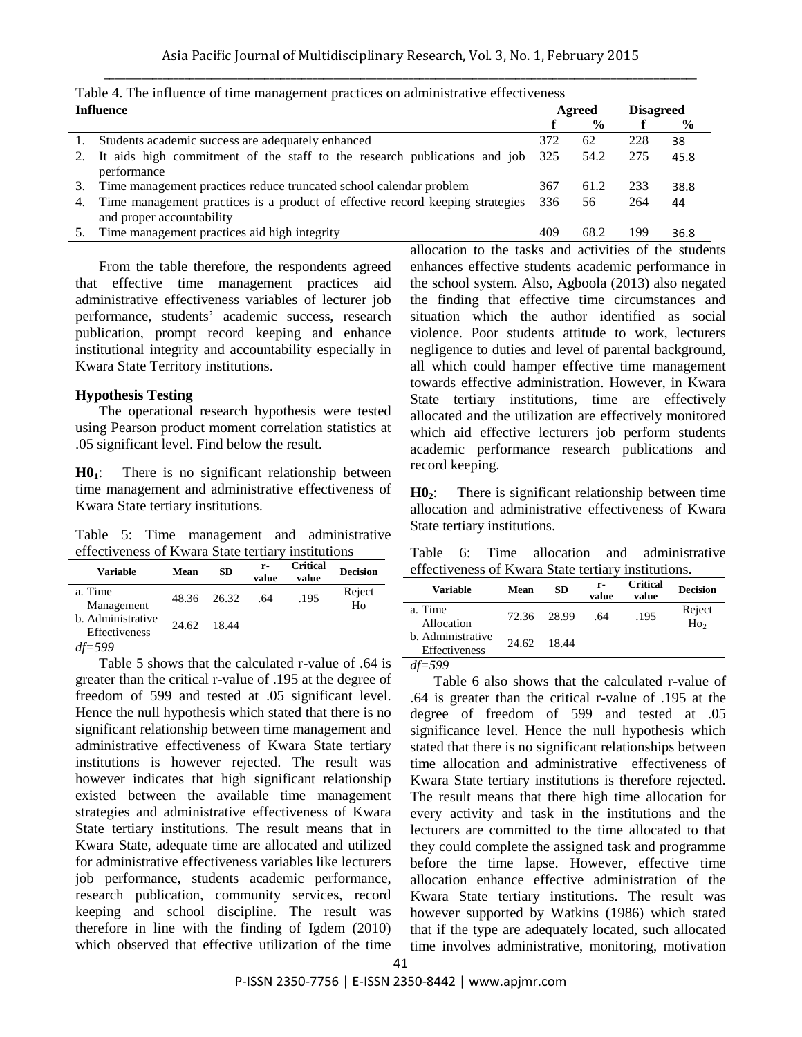|           | Table 4. The immence of three management practices on administrative effectiveness                         |     |               |     |                  |  |  |  |
|-----------|------------------------------------------------------------------------------------------------------------|-----|---------------|-----|------------------|--|--|--|
| Influence |                                                                                                            |     | Agreed        |     | <b>Disagreed</b> |  |  |  |
|           |                                                                                                            |     | $\frac{0}{0}$ |     | $\frac{6}{9}$    |  |  |  |
| 1.        | Students academic success are adequately enhanced                                                          | 372 | 62            | 228 | 38               |  |  |  |
| 2.        | It aids high commitment of the staff to the research publications and job<br>performance                   | 325 | 54.2          | 275 | 45.8             |  |  |  |
| 3.        | Time management practices reduce truncated school calendar problem                                         | 367 | 61.2          | 233 | 38.8             |  |  |  |
| 4.        | Time management practices is a product of effective record keeping strategies<br>and proper accountability | 336 | 56            | 264 | 44               |  |  |  |
| 5.        | Time management practices aid high integrity                                                               | 409 | 68.2          | 199 | 36.8             |  |  |  |

From the table therefore, the respondents agreed that effective time management practices aid administrative effectiveness variables of lecturer job performance, students' academic success, research publication, prompt record keeping and enhance institutional integrity and accountability especially in Kwara State Territory institutions.

#### **Hypothesis Testing**

The operational research hypothesis were tested using Pearson product moment correlation statistics at .05 significant level. Find below the result.

**H01**: There is no significant relationship between time management and administrative effectiveness of Kwara State tertiary institutions.

Table 5: Time management and administrative effectiveness of Kwara State tertiary institutions

| <b>Variable</b>                    | Mean  | SD          | r-<br>value | <b>Critical</b><br>value | <b>Decision</b> |
|------------------------------------|-------|-------------|-------------|--------------------------|-----------------|
| a. Time<br>Management              |       | 48.36 26.32 | .64         | .195                     | Reject<br>Ho    |
| b. Administrative<br>Effectiveness | 24.62 | 18.44       |             |                          |                 |
| $\cdots$                           |       |             |             |                          |                 |

*df=599*

Table 5 shows that the calculated r-value of .64 is greater than the critical r-value of .195 at the degree of freedom of 599 and tested at .05 significant level. Hence the null hypothesis which stated that there is no significant relationship between time management and administrative effectiveness of Kwara State tertiary institutions is however rejected. The result was however indicates that high significant relationship existed between the available time management strategies and administrative effectiveness of Kwara State tertiary institutions. The result means that in Kwara State, adequate time are allocated and utilized for administrative effectiveness variables like lecturers job performance, students academic performance, research publication, community services, record keeping and school discipline. The result was therefore in line with the finding of Igdem (2010) which observed that effective utilization of the time

allocation to the tasks and activities of the students enhances effective students academic performance in the school system. Also, Agboola (2013) also negated the finding that effective time circumstances and situation which the author identified as social violence. Poor students attitude to work, lecturers negligence to duties and level of parental background, all which could hamper effective time management towards effective administration. However, in Kwara State tertiary institutions, time are effectively allocated and the utilization are effectively monitored which aid effective lecturers job perform students academic performance research publications and record keeping.

**H02**: There is significant relationship between time allocation and administrative effectiveness of Kwara State tertiary institutions.

Table 6: Time allocation and administrative effectiveness of Kwara State tertiary institutions.

| Variable                           | Mean  | SD    | r-<br>value | <b>Critical</b><br>value | <b>Decision</b>           |
|------------------------------------|-------|-------|-------------|--------------------------|---------------------------|
| a. Time<br>Allocation              | 72.36 | 28.99 | .64         | .195                     | Reject<br>Ho <sub>2</sub> |
| b. Administrative<br>Effectiveness | 24.62 | 18.44 |             |                          |                           |

*df=599*

Table 6 also shows that the calculated r-value of .64 is greater than the critical r-value of .195 at the degree of freedom of 599 and tested at .05 significance level. Hence the null hypothesis which stated that there is no significant relationships between time allocation and administrative effectiveness of Kwara State tertiary institutions is therefore rejected. The result means that there high time allocation for every activity and task in the institutions and the lecturers are committed to the time allocated to that they could complete the assigned task and programme before the time lapse. However, effective time allocation enhance effective administration of the Kwara State tertiary institutions. The result was however supported by Watkins (1986) which stated that if the type are adequately located, such allocated time involves administrative, monitoring, motivation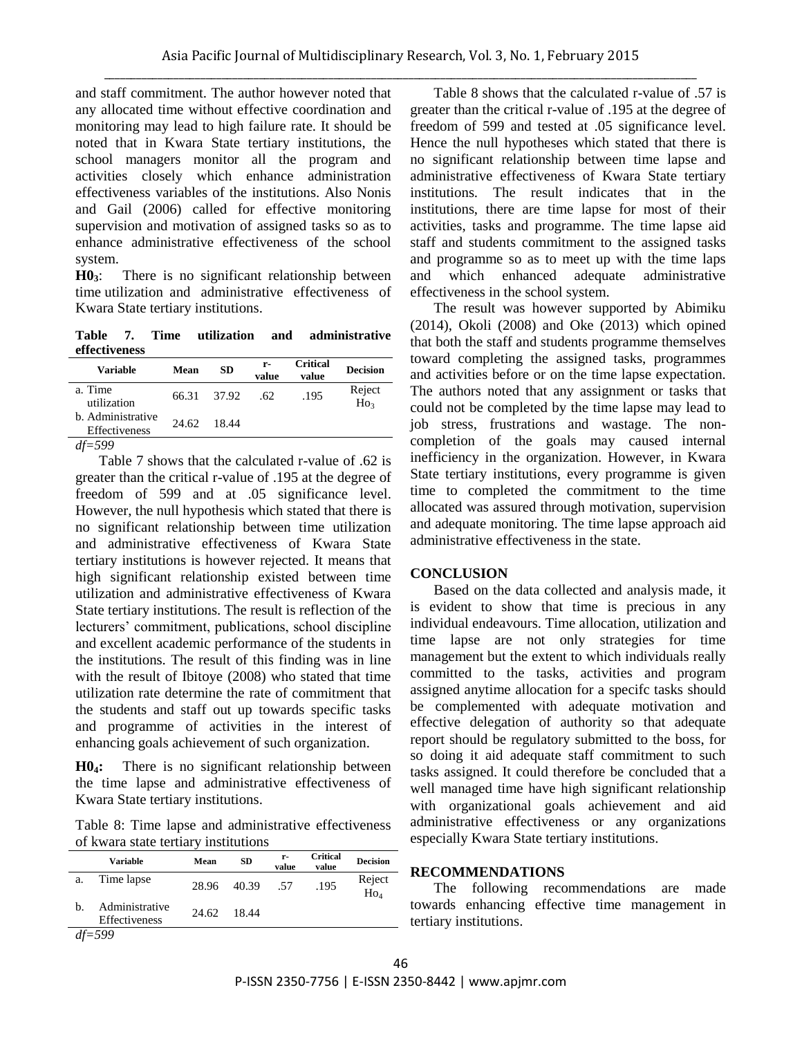and staff commitment. The author however noted that any allocated time without effective coordination and monitoring may lead to high failure rate. It should be noted that in Kwara State tertiary institutions, the school managers monitor all the program and activities closely which enhance administration effectiveness variables of the institutions. Also Nonis and Gail (2006) called for effective monitoring supervision and motivation of assigned tasks so as to enhance administrative effectiveness of the school system.

**H03**: There is no significant relationship between time utilization and administrative effectiveness of Kwara State tertiary institutions.

**Table 7. Time utilization and administrative effectiveness** 

| <b>Variable</b>                    | Mean  | <b>SD</b> | r-<br>value | <b>Critical</b><br>value | <b>Decision</b>     |
|------------------------------------|-------|-----------|-------------|--------------------------|---------------------|
| a. Time<br>utilization             | 66.31 | 37.92     | .62.        | .195                     | Reject<br>$H_{O_3}$ |
| b. Administrative<br>Effectiveness | 24.62 | 18.44     |             |                          |                     |
| $dt = 599$                         |       |           |             |                          |                     |

Table 7 shows that the calculated r-value of .62 is greater than the critical r-value of .195 at the degree of freedom of 599 and at .05 significance level. However, the null hypothesis which stated that there is no significant relationship between time utilization and administrative effectiveness of Kwara State tertiary institutions is however rejected. It means that high significant relationship existed between time utilization and administrative effectiveness of Kwara State tertiary institutions. The result is reflection of the lecturers' commitment, publications, school discipline and excellent academic performance of the students in the institutions. The result of this finding was in line with the result of Ibitoye (2008) who stated that time utilization rate determine the rate of commitment that the students and staff out up towards specific tasks and programme of activities in the interest of enhancing goals achievement of such organization.

**H04:** There is no significant relationship between the time lapse and administrative effectiveness of Kwara State tertiary institutions.

Table 8: Time lapse and administrative effectiveness of kwara state tertiary institutions

|    | <b>Variable</b>                 | Mean  | <b>SD</b> | r-<br>value | <b>Critical</b><br>value | <b>Decision</b>     |
|----|---------------------------------|-------|-----------|-------------|--------------------------|---------------------|
| a. | Time lapse                      | 28.96 | 40.39     | .57         | .195                     | Reject<br>$H_{O_4}$ |
| b. | Administrative<br>Effectiveness | 24.62 | 18.44     |             |                          |                     |
|    | $df = 599$                      |       |           |             |                          |                     |

Table 8 shows that the calculated r-value of .57 is greater than the critical r-value of .195 at the degree of freedom of 599 and tested at .05 significance level. Hence the null hypotheses which stated that there is no significant relationship between time lapse and administrative effectiveness of Kwara State tertiary institutions. The result indicates that in the institutions, there are time lapse for most of their activities, tasks and programme. The time lapse aid staff and students commitment to the assigned tasks and programme so as to meet up with the time laps and which enhanced adequate administrative effectiveness in the school system.

The result was however supported by Abimiku (2014), Okoli (2008) and Oke (2013) which opined that both the staff and students programme themselves toward completing the assigned tasks, programmes and activities before or on the time lapse expectation. The authors noted that any assignment or tasks that could not be completed by the time lapse may lead to job stress, frustrations and wastage. The noncompletion of the goals may caused internal inefficiency in the organization. However, in Kwara State tertiary institutions, every programme is given time to completed the commitment to the time allocated was assured through motivation, supervision and adequate monitoring. The time lapse approach aid administrative effectiveness in the state.

#### **CONCLUSION**

Based on the data collected and analysis made, it is evident to show that time is precious in any individual endeavours. Time allocation, utilization and time lapse are not only strategies for time management but the extent to which individuals really committed to the tasks, activities and program assigned anytime allocation for a specifc tasks should be complemented with adequate motivation and effective delegation of authority so that adequate report should be regulatory submitted to the boss, for so doing it aid adequate staff commitment to such tasks assigned. It could therefore be concluded that a well managed time have high significant relationship with organizational goals achievement and aid administrative effectiveness or any organizations especially Kwara State tertiary institutions.

#### **RECOMMENDATIONS**

The following recommendations are made towards enhancing effective time management in tertiary institutions.